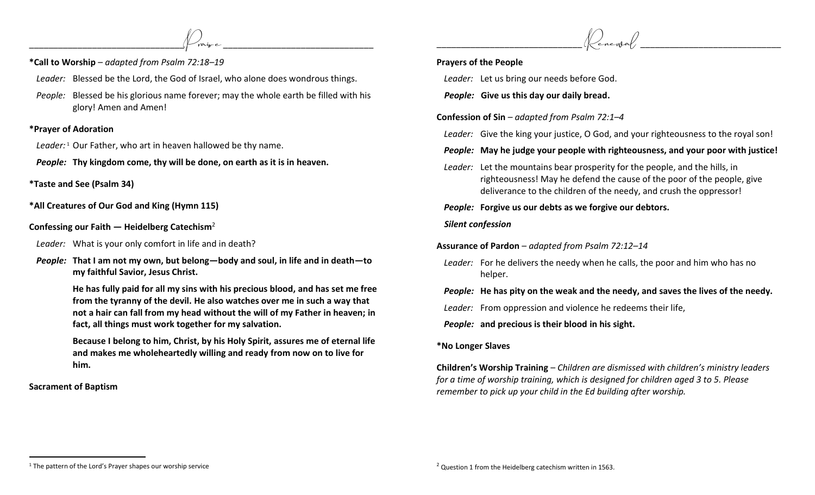<sup>1</sup> The pattern of the Lord's Prayer shapes our worship service

- **\*Call to Worship**  *adapted from Psalm 72:18–19*
- *Leader:* Blessed be the Lord, the God of Israel, who alone does wondrous things.

 $\circled{P}_{\text{raisy-e}}$ 

*People:* Blessed be his glorious name forever; may the whole earth be filled with his glory! Amen and Amen!

#### **\*Prayer of Adoration**

*Leader:* <sup>1</sup> Our Father, who art in heaven hallowed be thy name.

*People:* **Thy kingdom come, thy will be done, on earth as it is in heaven.**

- **\*Taste and See (Psalm 34)**
- **\*All Creatures of Our God and King (Hymn 115)**
- **Confessing our Faith — Heidelberg Catechism**<sup>2</sup>
- *Leader:* What is your only comfort in life and in death?
- *People:* **That I am not my own, but belong—body and soul, in life and in death—to my faithful Savior, Jesus Christ.**

**He has fully paid for all my sins with his precious blood, and has set me free from the tyranny of the devil. He also watches over me in such a way that not a hair can fall from my head without the will of my Father in heaven; in fact, all things must work together for my salvation.**

**Because I belong to him, Christ, by his Holy Spirit, assures me of eternal life and makes me wholeheartedly willing and ready from now on to live for him.**

# **Sacrament of Baptism**

### **Prayers of the People**

*Leader:* Let us bring our needs before God.

*People:* **Give us this day our daily bread.**

**Confession of Sin** *– adapted from Psalm 72:1–4*

*Leader:* Give the king your justice, O God, and your righteousness to the royal son!

# *People:* **May he judge your people with righteousness, and your poor with justice!**

*Leader:* Let the mountains bear prosperity for the people, and the hills, in righteousness! May he defend the cause of the poor of the people, give deliverance to the children of the needy, and crush the oppressor!

# *People:* **Forgive us our debts as we forgive our debtors.**

### *Silent confession*

**Assurance of Pardon** – *adapted from Psalm 72:12–14*

*Leader:* For he delivers the needy when he calls, the poor and him who has no helper.

*People:* **He has pity on the weak and the needy, and saves the lives of the needy.** 

*Leader:* From oppression and violence he redeems their life,

*People:* **and precious is their blood in his sight.** 

# **\*No Longer Slaves**

**Children's Worship Training** – *Children are dismissed with children's ministry leaders for a time of worship training, which is designed for children aged 3 to 5. Please remember to pick up your child in the Ed building after worship.*